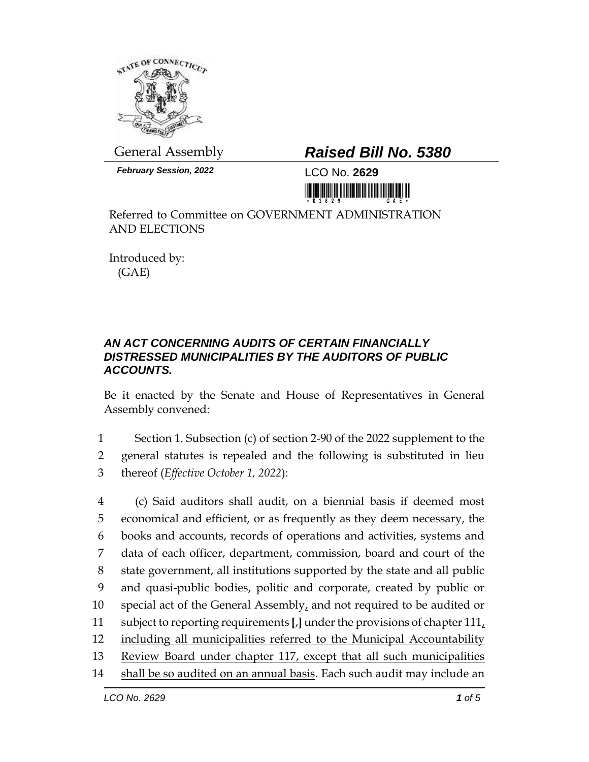

*February Session, 2022* LCO No. **2629**

## General Assembly *Raised Bill No. 5380*

<u> III di kacamatan ing Kabupatèn III di kacamatan III di kacamatan III di kacamatan III di kacamatan III di kacamatan III di kacamatan III di kacamatan III di kacamatan III di kacamatan III di kacamatan III di kacamatan II</u>

Referred to Committee on GOVERNMENT ADMINISTRATION AND ELECTIONS

Introduced by: (GAE)

## *AN ACT CONCERNING AUDITS OF CERTAIN FINANCIALLY DISTRESSED MUNICIPALITIES BY THE AUDITORS OF PUBLIC ACCOUNTS.*

Be it enacted by the Senate and House of Representatives in General Assembly convened:

1 Section 1. Subsection (c) of section 2-90 of the 2022 supplement to the 2 general statutes is repealed and the following is substituted in lieu 3 thereof (*Effective October 1, 2022*):

 (c) Said auditors shall audit, on a biennial basis if deemed most economical and efficient, or as frequently as they deem necessary, the books and accounts, records of operations and activities, systems and data of each officer, department, commission, board and court of the state government, all institutions supported by the state and all public and quasi-public bodies, politic and corporate, created by public or 10 special act of the General Assembly, and not required to be audited or subject to reporting requirements **[**,**]** under the provisions of chapter 111, 12 including all municipalities referred to the Municipal Accountability Review Board under chapter 117, except that all such municipalities shall be so audited on an annual basis. Each such audit may include an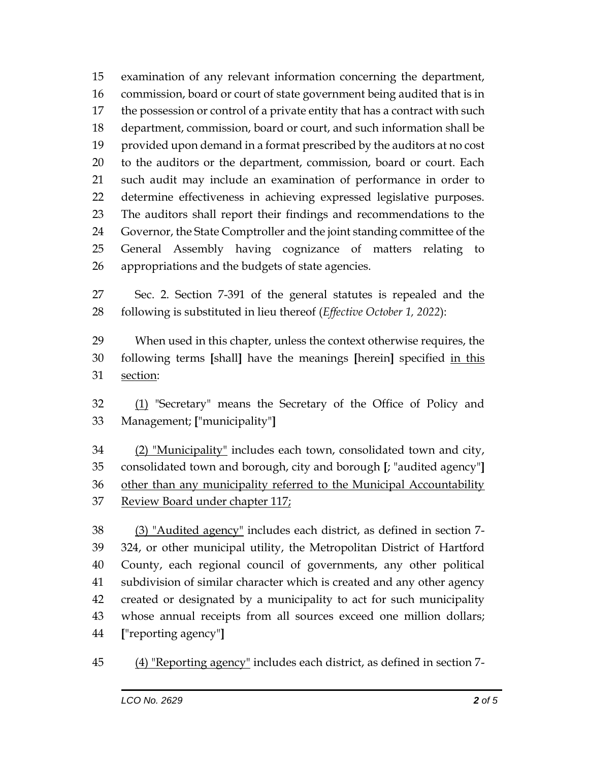examination of any relevant information concerning the department, commission, board or court of state government being audited that is in the possession or control of a private entity that has a contract with such department, commission, board or court, and such information shall be provided upon demand in a format prescribed by the auditors at no cost to the auditors or the department, commission, board or court. Each such audit may include an examination of performance in order to determine effectiveness in achieving expressed legislative purposes. The auditors shall report their findings and recommendations to the Governor, the State Comptroller and the joint standing committee of the General Assembly having cognizance of matters relating to appropriations and the budgets of state agencies.

 Sec. 2. Section 7-391 of the general statutes is repealed and the following is substituted in lieu thereof (*Effective October 1, 2022*):

 When used in this chapter, unless the context otherwise requires, the following terms **[**shall**]** have the meanings **[**herein**]** specified in this section:

32 (1) "Secretary" means the Secretary of the Office of Policy and Management; **[**"municipality"**]**

 (2) "Municipality" includes each town, consolidated town and city, consolidated town and borough, city and borough **[**; "audited agency"**]**  other than any municipality referred to the Municipal Accountability Review Board under chapter 117;

 (3) "Audited agency" includes each district, as defined in section 7- 324, or other municipal utility, the Metropolitan District of Hartford County, each regional council of governments, any other political subdivision of similar character which is created and any other agency created or designated by a municipality to act for such municipality whose annual receipts from all sources exceed one million dollars; **[**"reporting agency"**]**

(4) "Reporting agency" includes each district, as defined in section 7-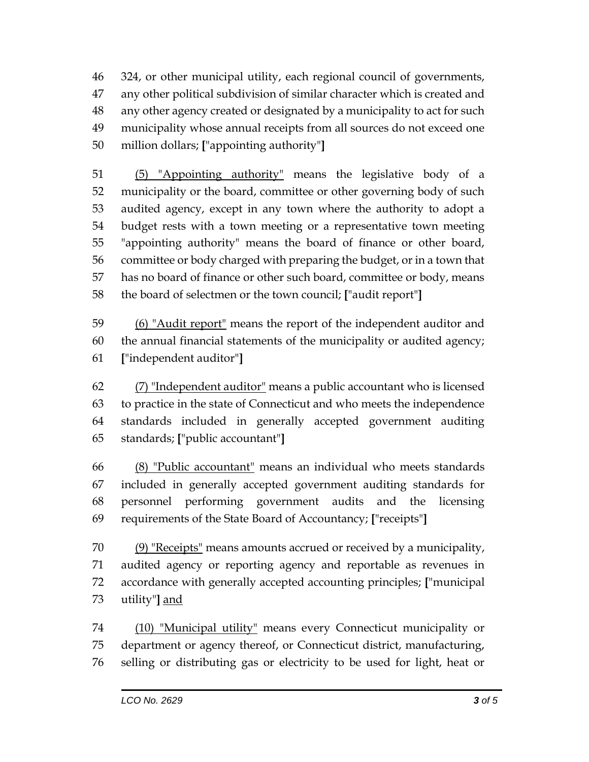324, or other municipal utility, each regional council of governments, any other political subdivision of similar character which is created and any other agency created or designated by a municipality to act for such municipality whose annual receipts from all sources do not exceed one million dollars; **[**"appointing authority"**]**

 (5) "Appointing authority" means the legislative body of a municipality or the board, committee or other governing body of such audited agency, except in any town where the authority to adopt a budget rests with a town meeting or a representative town meeting "appointing authority" means the board of finance or other board, committee or body charged with preparing the budget, or in a town that has no board of finance or other such board, committee or body, means the board of selectmen or the town council; **[**"audit report"**]**

 (6) "Audit report" means the report of the independent auditor and the annual financial statements of the municipality or audited agency; **[**"independent auditor"**]**

 (7) "Independent auditor" means a public accountant who is licensed to practice in the state of Connecticut and who meets the independence standards included in generally accepted government auditing standards; **[**"public accountant"**]**

 (8) "Public accountant" means an individual who meets standards included in generally accepted government auditing standards for personnel performing government audits and the licensing requirements of the State Board of Accountancy; **[**"receipts"**]**

70 (9) "Receipts" means amounts accrued or received by a municipality, audited agency or reporting agency and reportable as revenues in accordance with generally accepted accounting principles; **[**"municipal utility"**]** and

 (10) "Municipal utility" means every Connecticut municipality or department or agency thereof, or Connecticut district, manufacturing, selling or distributing gas or electricity to be used for light, heat or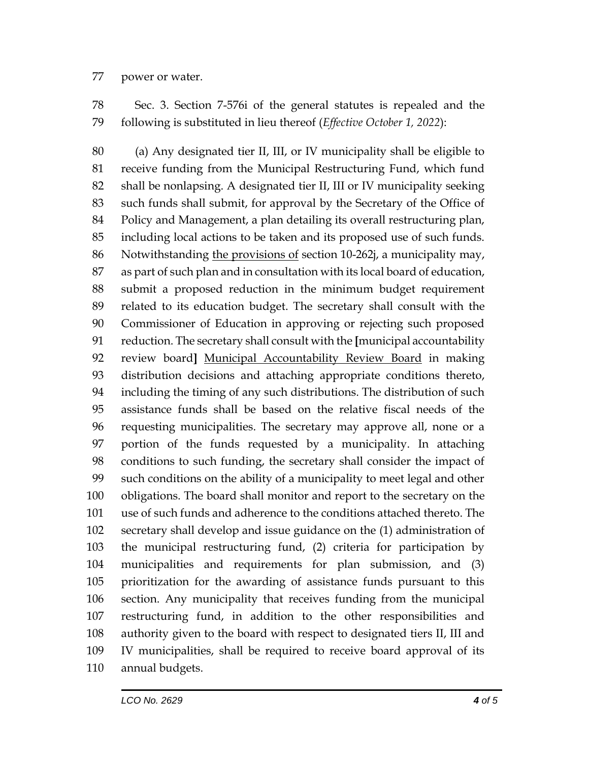## power or water.

 Sec. 3. Section 7-576i of the general statutes is repealed and the following is substituted in lieu thereof (*Effective October 1, 2022*):

 (a) Any designated tier II, III, or IV municipality shall be eligible to receive funding from the Municipal Restructuring Fund, which fund shall be nonlapsing. A designated tier II, III or IV municipality seeking such funds shall submit, for approval by the Secretary of the Office of Policy and Management, a plan detailing its overall restructuring plan, including local actions to be taken and its proposed use of such funds. Notwithstanding the provisions of section 10-262j, a municipality may, as part of such plan and in consultation with its local board of education, submit a proposed reduction in the minimum budget requirement related to its education budget. The secretary shall consult with the Commissioner of Education in approving or rejecting such proposed reduction. The secretary shall consult with the **[**municipal accountability review board**]** Municipal Accountability Review Board in making distribution decisions and attaching appropriate conditions thereto, including the timing of any such distributions. The distribution of such assistance funds shall be based on the relative fiscal needs of the requesting municipalities. The secretary may approve all, none or a portion of the funds requested by a municipality. In attaching conditions to such funding, the secretary shall consider the impact of such conditions on the ability of a municipality to meet legal and other obligations. The board shall monitor and report to the secretary on the use of such funds and adherence to the conditions attached thereto. The secretary shall develop and issue guidance on the (1) administration of the municipal restructuring fund, (2) criteria for participation by municipalities and requirements for plan submission, and (3) prioritization for the awarding of assistance funds pursuant to this section. Any municipality that receives funding from the municipal restructuring fund, in addition to the other responsibilities and authority given to the board with respect to designated tiers II, III and IV municipalities, shall be required to receive board approval of its annual budgets.